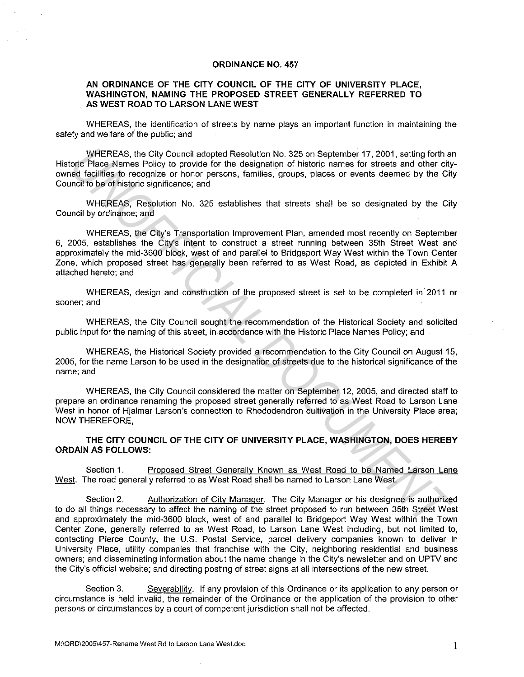## **ORDINANCE NO. 457**

## **AN ORDINANCE OF THE CITY COUNCIL OF THE CITY OF UNIVERSITY PLACE, WASHINGTON, NAMING THE PROPOSED STREET GENERALLY REFERRED TO AS WEST ROAD TO LARSON LANE WEST**

WHEREAS, the identification of streets by name plays an important function in maintaining the safety and welfare of the public; and

WHEREAS, the City Council adopted Resolution No. 325 on September 17, 2001, setting forth an Historic Place Names Policy to provide for the designation of historic names for streets and other cityowned facilities to recognize or honor persons, families, groups, places or events deemed by the City Council to be of historic significance; and

WHEREAS, Resolution No. 325 establishes that streets shall be so designated by the City Council by ordinance; and

WHEREAS, the City's Transportation Improvement Plan, amended most recently on September 6, 2005, establishes the City's intent to construct a street running between 35th Street West and approximately the mid-3600 block, west of and parallel to Bridgeport Way West within the Town Center Zone, which proposed street has generally been referred to as West Road, as depicted in Exhibit A attached hereto; and WHEREAS, the City Council adopted Resolution No. 325 on September 17, 2001, esting dorths and doter discussion of the signation of the signation of the storic names for streaks and other eight and itself in recognize or ho

WHEREAS, design and construction of the proposed street is set to be completed in 2011 or sooner; and

WHEREAS, the City Council sought the recommendation of the Historical Society and solicited public input for the naming of this street, in accordance with the Historic Place Names Policy; and

WHEREAS, the Historical Society provided a recommendation to the City Council on August 15, 2005, for the name Larson to be used in the designation of streets due to the historical significance of the name; and

WHEREAS, the City Council considered the matter on September 12, 2005, and directed staff to prepare an ordinance renaming the proposed street generally referred to as West Road to Larson Lane West in honor of Hjalmar Larson's connection to Rhododendron cultivation in the University Place area; NOW THEREFORE,

**THE CITY COUNCIL OF THE CITY OF UNIVERSITY PLACE, WASHINGTON, DOES HEREBY ORDAIN AS FOLLOWS:** 

Section 1. Proposed Street Generally Known as West Road to be Named Larson Lane West. The road generally referred to as West Road shall be named to Larson Lane West.

Section 2. Authorization of City Manager. The City Manager or his designee is authorized to do all things necessary to affect the naming of the street proposed to run between 35th Street West and approximately the mid-3600 block, west of and parallel to Bridgeport Way West within the Town Center Zone, generally referred to as West Road, to Larson Lane West including, but not limited to, contacting Pierce County, the U.S. Postal Service, parcel delivery companies known to deliver in University Place, utility companies that franchise with the City, neighboring residential and business owners; and disseminating information about the name change in the City's newsletter and on UPTV and the City's official website; and directing posting of street signs at all intersections of the new street

Section 3. Severability. If any provision of this Ordinance or its application to any person or circumstance is held invalid, the remainder of the Ordinance or the application of the provision to other persons or circumstances by a court of competent jurisdiction shall not be affected.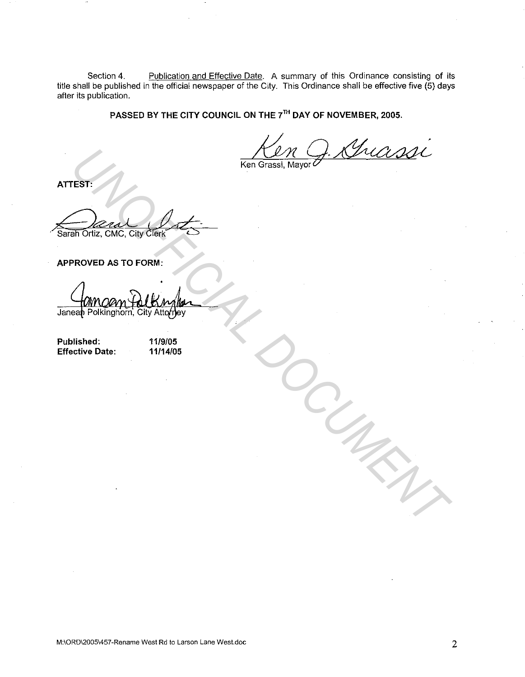Section 4. Publication and Effective Date. A summary of this Ordinance consisting of its title shall be published in the official newspaper of the City. This Ordinance shall be effective five (5) days after its publication.

PASSED BY THE CITY COUNCIL ON THE 7<sup>TH</sup> DAY OF NOVEMBER, 2005.

ATTEST:

## APPROVED AS TO FORM:

TEST.<br>
THE CALL ON THE CITY OF THE CONSULT ON THE CONSULT OF THE CALL OF THE CITY OF THE CONSULT OF THE CONSULT OF THE CONSULT OF THE CONSULT OF THE CONSULT OF THE CONSULT OF THE CONSULT OF THE CONSULT OF THE CONSULT OF TH

Published: Effective Date: 11/9/05 11/14/05